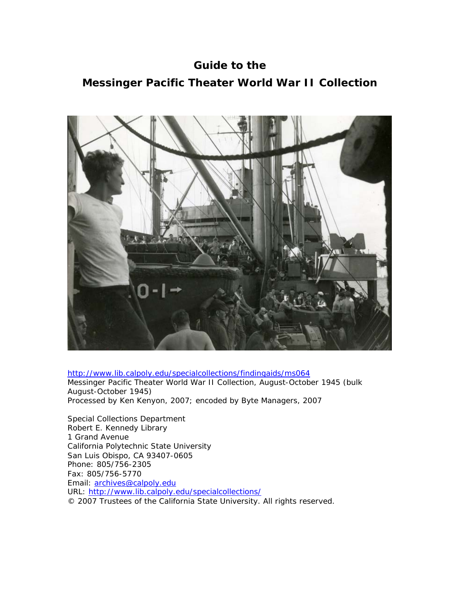**Guide to the Messinger Pacific Theater World War II Collection** 



http://www.lib.calpoly.edu/specialcollections/findingaids/ms064 Messinger Pacific Theater World War II Collection, August-October 1945 (bulk August-October 1945) Processed by Ken Kenyon, 2007; encoded by Byte Managers, 2007

Special Collections Department Robert E. Kennedy Library 1 Grand Avenue California Polytechnic State University San Luis Obispo, CA 93407-0605 Phone: 805/756-2305 Fax: 805/756-5770 Email: [archives@calpoly.edu](mailto:archives@calpoly.edu) URL: http://www.lib.calpoly.edu/specialcollections/ © 2007 Trustees of the California State University. All rights reserved.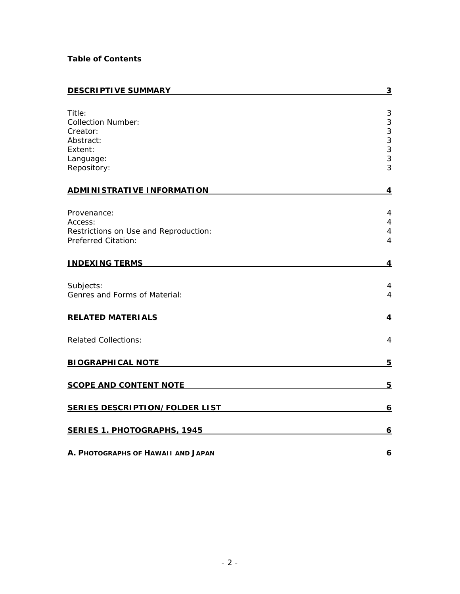# **Table of Contents**

| <b>DESCRIPTIVE SUMMARY</b>            | $\overline{3}$          |
|---------------------------------------|-------------------------|
|                                       |                         |
| Title:                                | 3                       |
| <b>Collection Number:</b>             | $\sqrt{3}$              |
| Creator:                              | $\mathsf 3$             |
| Abstract:                             | 3                       |
| Extent:                               | 3                       |
| Language:                             | 3                       |
| Repository:                           | 3                       |
| <b>ADMINISTRATIVE INFORMATION</b>     | $\overline{\mathbf{4}}$ |
|                                       |                         |
| Provenance:                           | 4                       |
| Access:                               | $\overline{4}$          |
| Restrictions on Use and Reproduction: | 4                       |
| Preferred Citation:                   | $\overline{4}$          |
| <b>INDEXING TERMS</b>                 | 4                       |
| Subjects:                             | 4                       |
| Genres and Forms of Material:         | 4                       |
| <b>RELATED MATERIALS</b>              | $\overline{4}$          |
| <b>Related Collections:</b>           | 4                       |
| <b>BIOGRAPHICAL NOTE</b>              | 5                       |
| <b>SCOPE AND CONTENT NOTE</b>         | $\overline{5}$          |
| <b>SERIES DESCRIPTION/FOLDER LIST</b> | $\overline{6}$          |
| <b>SERIES 1. PHOTOGRAPHS, 1945</b>    | <u>6</u>                |
| A. PHOTOGRAPHS OF HAWAII AND JAPAN    | 6                       |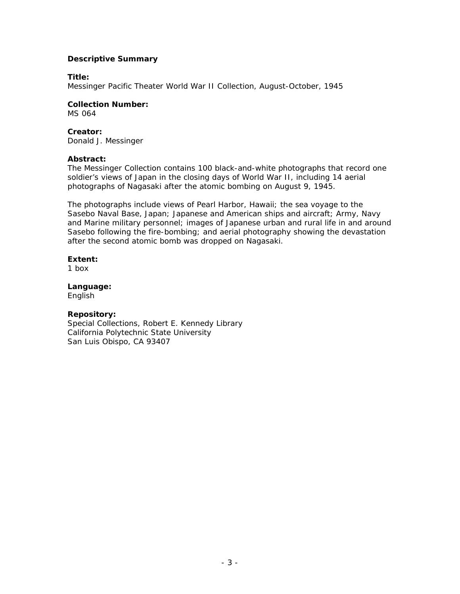## <span id="page-2-0"></span>**Descriptive Summary**

## **Title:**

Messinger Pacific Theater World War II Collection, August-October, 1945

**Collection Number:** 

MS 064

# **Creator:**

Donald J. Messinger

# **Abstract:**

The Messinger Collection contains 100 black-and-white photographs that record one soldier's views of Japan in the closing days of World War II, including 14 aerial photographs of Nagasaki after the atomic bombing on August 9, 1945.

The photographs include views of Pearl Harbor, Hawaii; the sea voyage to the Sasebo Naval Base, Japan; Japanese and American ships and aircraft; Army, Navy and Marine military personnel; images of Japanese urban and rural life in and around Sasebo following the fire-bombing; and aerial photography showing the devastation after the second atomic bomb was dropped on Nagasaki.

# **Extent:**

1 box

**Language:**  English

# **Repository:**

Special Collections, Robert E. Kennedy Library California Polytechnic State University San Luis Obispo, CA 93407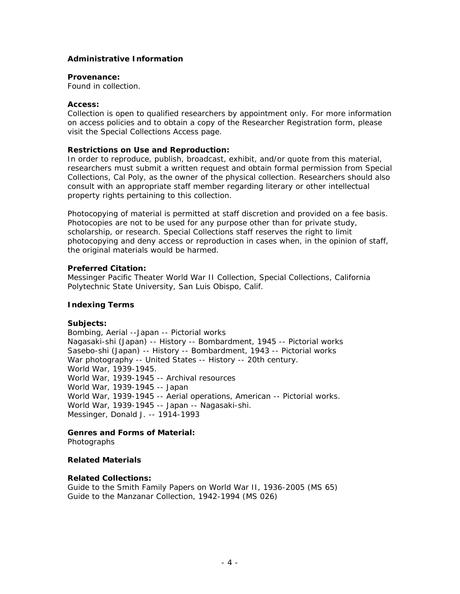## <span id="page-3-0"></span>**Administrative Information**

#### **Provenance:**

Found in collection.

#### **Access:**

Collection is open to qualified researchers by appointment only. For more information on access policies and to obtain a copy of the Researcher Registration form, please visit the Special Collections Access page.

### **Restrictions on Use and Reproduction:**

In order to reproduce, publish, broadcast, exhibit, and/or quote from this material, researchers must submit a written request and obtain formal permission from Special Collections, Cal Poly, as the owner of the physical collection. Researchers should also consult with an appropriate staff member regarding literary or other intellectual property rights pertaining to this collection.

Photocopying of material is permitted at staff discretion and provided on a fee basis. Photocopies are not to be used for any purpose other than for private study, scholarship, or research. Special Collections staff reserves the right to limit photocopying and deny access or reproduction in cases when, in the opinion of staff, the original materials would be harmed.

## **Preferred Citation:**

Messinger Pacific Theater World War II Collection, Special Collections, California Polytechnic State University, San Luis Obispo, Calif.

## **Indexing Terms**

### **Subjects:**

Bombing, Aerial --Japan -- Pictorial works Nagasaki-shi (Japan) -- History -- Bombardment, 1945 -- Pictorial works Sasebo-shi (Japan) -- History -- Bombardment, 1943 -- Pictorial works War photography -- United States -- History -- 20th century. World War, 1939-1945. World War, 1939-1945 -- Archival resources World War, 1939-1945 -- Japan World War, 1939-1945 -- Aerial operations, American -- Pictorial works. World War, 1939-1945 -- Japan -- Nagasaki-shi. Messinger, Donald J. -- 1914-1993

# **Genres and Forms of Material:**

Photographs

### **Related Materials**

## **Related Collections:**

Guide to the Smith Family Papers on World War II, 1936-2005 (MS 65) Guide to the Manzanar Collection, 1942-1994 (MS 026)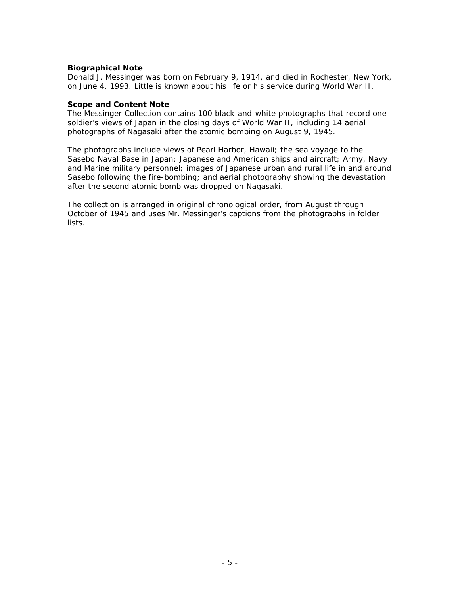## <span id="page-4-0"></span>**Biographical Note**

Donald J. Messinger was born on February 9, 1914, and died in Rochester, New York, on June 4, 1993. Little is known about his life or his service during World War II.

### **Scope and Content Note**

The Messinger Collection contains 100 black-and-white photographs that record one soldier's views of Japan in the closing days of World War II, including 14 aerial photographs of Nagasaki after the atomic bombing on August 9, 1945.

The photographs include views of Pearl Harbor, Hawaii; the sea voyage to the Sasebo Naval Base in Japan; Japanese and American ships and aircraft; Army, Navy and Marine military personnel; images of Japanese urban and rural life in and around Sasebo following the fire-bombing; and aerial photography showing the devastation after the second atomic bomb was dropped on Nagasaki.

The collection is arranged in original chronological order, from August through October of 1945 and uses Mr. Messinger's captions from the photographs in folder lists.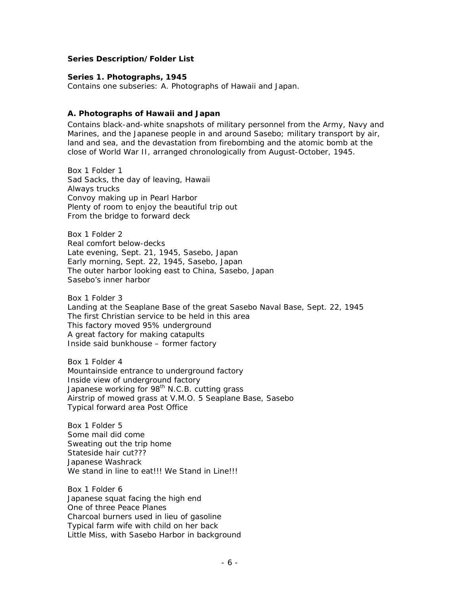## <span id="page-5-0"></span>**Series Description/Folder List**

#### **Series 1. Photographs, 1945**

Contains one subseries: A. Photographs of Hawaii and Japan.

### **A. Photographs of Hawaii and Japan**

Contains black-and-white snapshots of military personnel from the Army, Navy and Marines, and the Japanese people in and around Sasebo; military transport by air, land and sea, and the devastation from firebombing and the atomic bomb at the close of World War II, arranged chronologically from August-October, 1945.

Box 1 Folder 1 Sad Sacks, the day of leaving, Hawaii Always trucks Convoy making up in Pearl Harbor Plenty of room to enjoy the beautiful trip out From the bridge to forward deck

Box 1 Folder 2 Real comfort below-decks Late evening, Sept. 21, 1945, Sasebo, Japan Early morning, Sept. 22, 1945, Sasebo, Japan The outer harbor looking east to China, Sasebo, Japan Sasebo's inner harbor

Box 1 Folder 3 Landing at the Seaplane Base of the great Sasebo Naval Base, Sept. 22, 1945 The first Christian service to be held in this area This factory moved 95% underground A great factory for making catapults Inside said bunkhouse – former factory

Box 1 Folder 4 Mountainside entrance to underground factory Inside view of underground factory Japanese working for 98<sup>th</sup> N.C.B. cutting grass Airstrip of mowed grass at V.M.O. 5 Seaplane Base, Sasebo Typical forward area Post Office

Box 1 Folder 5 Some mail did come Sweating out the trip home Stateside hair cut??? Japanese Washrack We stand in line to eat!!! We Stand in Line!!!

Box 1 Folder 6 Japanese squat facing the high end One of three Peace Planes Charcoal burners used in lieu of gasoline Typical farm wife with child on her back Little Miss, with Sasebo Harbor in background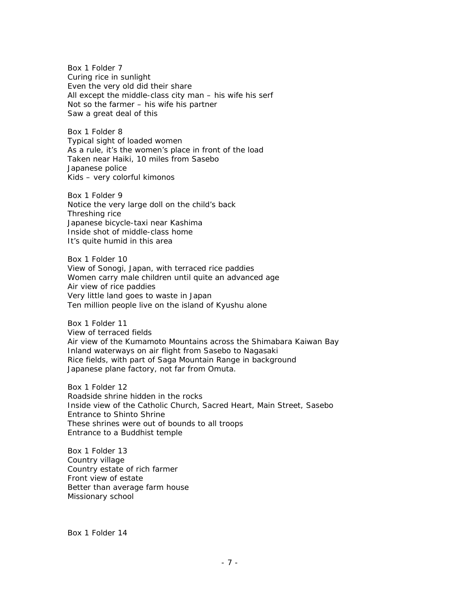Box 1 Folder 7 Curing rice in sunlight Even the very old did their share All except the middle-class city man – his wife his serf Not so the farmer – his wife his partner Saw a great deal of this

Box 1 Folder 8 Typical sight of loaded women As a rule, it's the women's place in front of the load Taken near Haiki, 10 miles from Sasebo Japanese police Kids – very colorful kimonos

Box 1 Folder 9 Notice the very large doll on the child's back Threshing rice Japanese bicycle-taxi near Kashima Inside shot of middle-class home It's quite humid in this area

Box 1 Folder 10 View of Sonogi, Japan, with terraced rice paddies Women carry male children until quite an advanced age Air view of rice paddies Very little land goes to waste in Japan Ten million people live on the island of Kyushu alone

Box 1 Folder 11 View of terraced fields Air view of the Kumamoto Mountains across the Shimabara Kaiwan Bay Inland waterways on air flight from Sasebo to Nagasaki Rice fields, with part of Saga Mountain Range in background Japanese plane factory, not far from Omuta.

Box 1 Folder 12 Roadside shrine hidden in the rocks Inside view of the Catholic Church, Sacred Heart, Main Street, Sasebo Entrance to Shinto Shrine These shrines were out of bounds to all troops Entrance to a Buddhist temple

Box 1 Folder 13 Country village Country estate of rich farmer Front view of estate Better than average farm house Missionary school

Box 1 Folder 14